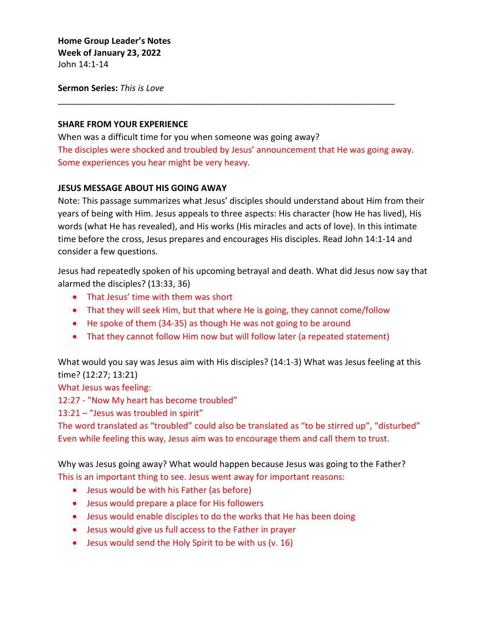**Home Group Leader's Notes Week of January 23, 2022** John 14:1-14

**Sermon Series:** *This is Love*

## **SHARE FROM YOUR EXPERIENCE**

When was a difficult time for you when someone was going away? The disciples were shocked and troubled by Jesus' announcement that He was going away. Some experiences you hear might be very heavy.

\_\_\_\_\_\_\_\_\_\_\_\_\_\_\_\_\_\_\_\_\_\_\_\_\_\_\_\_\_\_\_\_\_\_\_\_\_\_\_\_\_\_\_\_\_\_\_\_\_\_\_\_\_\_\_\_\_\_\_\_\_\_\_\_\_\_\_\_\_\_

## **JESUS MESSAGE ABOUT HIS GOING AWAY**

Note: This passage summarizes what Jesus' disciples should understand about Him from their years of being with Him. Jesus appeals to three aspects: His character (how He has lived), His words (what He has revealed), and His works (His miracles and acts of love). In this intimate time before the cross, Jesus prepares and encourages His disciples. Read John 14:1-14 and consider a few questions.

Jesus had repeatedly spoken of his upcoming betrayal and death. What did Jesus now say that alarmed the disciples? (13:33, 36)

- That Jesus' time with them was short
- That they will seek Him, but that where He is going, they cannot come/follow
- He spoke of them (34-35) as though He was not going to be around
- That they cannot follow Him now but will follow later (a repeated statement)

What would you say was Jesus aim with His disciples? (14:1-3) What was Jesus feeling at this time? (12:27; 13:21)

What Jesus was feeling:

12:27 - "Now My heart has become troubled"

13:21 – "Jesus was troubled in spirit"

The word translated as "troubled" could also be translated as "to be stirred up", "disturbed" Even while feeling this way, Jesus aim was to encourage them and call them to trust.

Why was Jesus going away? What would happen because Jesus was going to the Father? This is an important thing to see. Jesus went away for important reasons:

- Jesus would be with his Father (as before)
- Jesus would prepare a place for His followers
- Jesus would enable disciples to do the works that He has been doing
- Jesus would give us full access to the Father in prayer
- Jesus would send the Holy Spirit to be with us (v. 16)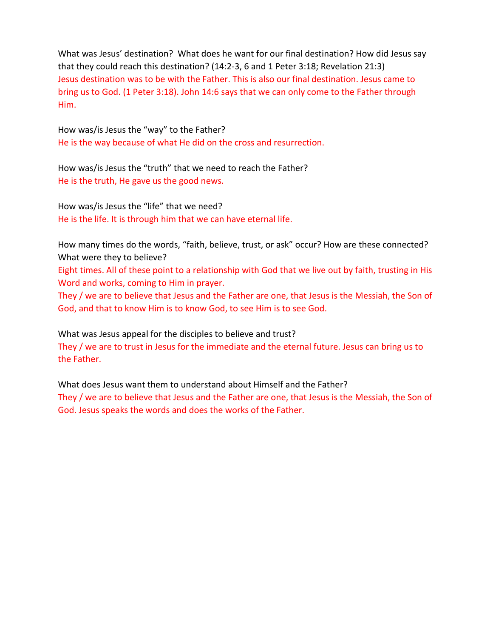What was Jesus' destination? What does he want for our final destination? How did Jesus say that they could reach this destination? (14:2-3, 6 and 1 Peter 3:18; Revelation 21:3) Jesus destination was to be with the Father. This is also our final destination. Jesus came to bring us to God. (1 Peter 3:18). John 14:6 says that we can only come to the Father through Him.

How was/is Jesus the "way" to the Father? He is the way because of what He did on the cross and resurrection.

How was/is Jesus the "truth" that we need to reach the Father? He is the truth, He gave us the good news.

How was/is Jesus the "life" that we need? He is the life. It is through him that we can have eternal life.

How many times do the words, "faith, believe, trust, or ask" occur? How are these connected? What were they to believe?

Eight times. All of these point to a relationship with God that we live out by faith, trusting in His Word and works, coming to Him in prayer.

They / we are to believe that Jesus and the Father are one, that Jesus is the Messiah, the Son of God, and that to know Him is to know God, to see Him is to see God.

What was Jesus appeal for the disciples to believe and trust? They / we are to trust in Jesus for the immediate and the eternal future. Jesus can bring us to the Father.

What does Jesus want them to understand about Himself and the Father? They / we are to believe that Jesus and the Father are one, that Jesus is the Messiah, the Son of God. Jesus speaks the words and does the works of the Father.